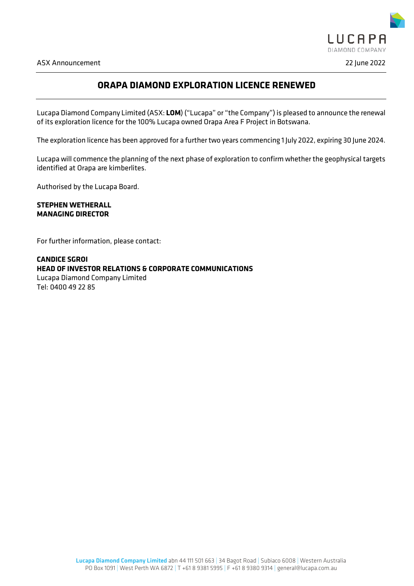

# **ORAPA DIAMOND EXPLORATION LICENCE RENEWED**

Lucapa Diamond Company Limited (ASX: **LOM**) ("Lucapa" or "the Company") is pleased to announce the renewal of its exploration licence for the 100% Lucapa owned Orapa Area F Project in Botswana.

The exploration licence has been approved for a further two years commencing 1 July 2022, expiring 30 June 2024.

Lucapa will commence the planning of the next phase of exploration to confirm whether the geophysical targets identified at Orapa are kimberlites.

Authorised by the Lucapa Board.

**STEPHEN WETHERALL MANAGING DIRECTOR**

For further information, please contact:

**CANDICE SGROI HEAD OF INVESTOR RELATIONS & CORPORATE COMMUNICATIONS** Lucapa Diamond Company Limited Tel: 0400 49 22 85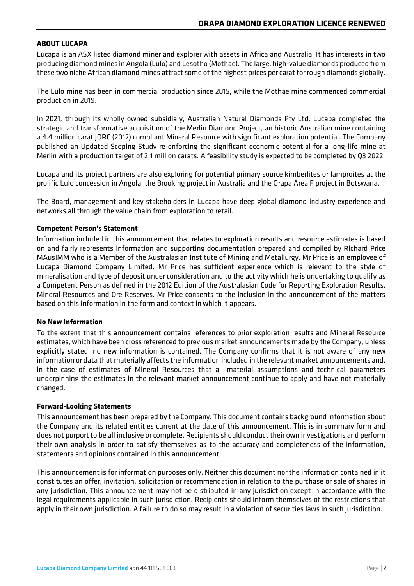## **ABOUT LUCAPA**

Lucapa is an ASX listed diamond miner and explorer with assets in Africa and Australia. It has interests in two producing diamond mines in Angola (Lulo) and Lesotho (Mothae). The large, high-value diamonds produced from these two niche African diamond mines attract some of the highest prices per carat for rough diamonds globally.

The Lulo mine has been in commercial production since 2015, while the Mothae mine commenced commercial production in 2019.

In 2021, through its wholly owned subsidiary, Australian Natural Diamonds Pty Ltd, Lucapa completed the strategic and transformative acquisition of the Merlin Diamond Project, an historic Australian mine containing a 4.4 million carat JORC (2012) compliant Mineral Resource with significant exploration potential. The Company published an Updated Scoping Study re-enforcing the significant economic potential for a long-life mine at Merlin with a production target of 2.1 million carats. A feasibility study is expected to be completed by Q3 2022.

Lucapa and its project partners are also exploring for potential primary source kimberlites or lamproites at the prolific Lulo concession in Angola, the Brooking project in Australia and the Orapa Area F project in Botswana.

The Board, management and key stakeholders in Lucapa have deep global diamond industry experience and networks all through the value chain from exploration to retail.

### **Competent Person's Statement**

Information included in this announcement that relates to exploration results and resource estimates is based on and fairly represents information and supporting documentation prepared and compiled by Richard Price MAusIMM who is a Member of the Australasian Institute of Mining and Metallurgy. Mr Price is an employee of Lucapa Diamond Company Limited. Mr Price has sufficient experience which is relevant to the style of mineralisation and type of deposit under consideration and to the activity which he is undertaking to qualify as a Competent Person as defined in the 2012 Edition of the Australasian Code for Reporting Exploration Results, Mineral Resources and Ore Reserves. Mr Price consents to the inclusion in the announcement of the matters based on this information in the form and context in which it appears.

### **No New Information**

To the extent that this announcement contains references to prior exploration results and Mineral Resource estimates, which have been cross referenced to previous market announcements made by the Company, unless explicitly stated, no new information is contained. The Company confirms that it is not aware of any new information or data that materially affects the information included in the relevant market announcements and, in the case of estimates of Mineral Resources that all material assumptions and technical parameters underpinning the estimates in the relevant market announcement continue to apply and have not materially changed.

### **Forward-Looking Statements**

This announcement has been prepared by the Company. This document contains background information about the Company and its related entities current at the date of this announcement. This is in summary form and does not purport to be all inclusive or complete. Recipients should conduct their own investigations and perform their own analysis in order to satisfy themselves as to the accuracy and completeness of the information, statements and opinions contained in this announcement.

This announcement is for information purposes only. Neither this document nor the information contained in it constitutes an offer, invitation, solicitation or recommendation in relation to the purchase or sale of shares in any jurisdiction. This announcement may not be distributed in any jurisdiction except in accordance with the legal requirements applicable in such jurisdiction. Recipients should inform themselves of the restrictions that apply in their own jurisdiction. A failure to do so may result in a violation of securities laws in such jurisdiction.